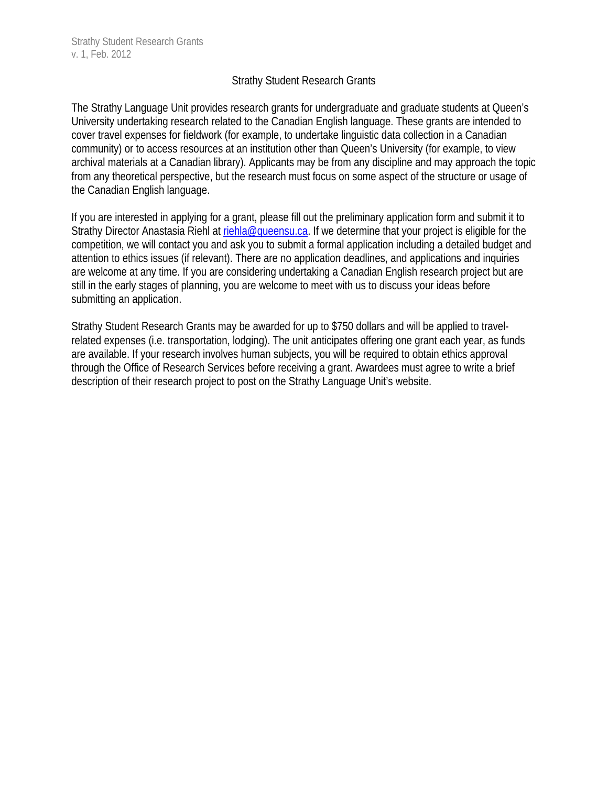## Strathy Student Research Grants

The Strathy Language Unit provides research grants for undergraduate and graduate students at Queen's University undertaking research related to the Canadian English language. These grants are intended to cover travel expenses for fieldwork (for example, to undertake linguistic data collection in a Canadian community) or to access resources at an institution other than Queen's University (for example, to view archival materials at a Canadian library). Applicants may be from any discipline and may approach the topic from any theoretical perspective, but the research must focus on some aspect of the structure or usage of the Canadian English language.

If you are interested in applying for a grant, please fill out the preliminary application form and submit it to Strathy Director Anastasia Riehl at riehla@queensu.ca. If we determine that your project is eligible for the competition, we will contact you and ask you to submit a formal application including a detailed budget and attention to ethics issues (if relevant). There are no application deadlines, and applications and inquiries are welcome at any time. If you are considering undertaking a Canadian English research project but are still in the early stages of planning, you are welcome to meet with us to discuss your ideas before submitting an application.

Strathy Student Research Grants may be awarded for up to \$750 dollars and will be applied to travelrelated expenses (i.e. transportation, lodging). The unit anticipates offering one grant each year, as funds are available. If your research involves human subjects, you will be required to obtain ethics approval through the Office of Research Services before receiving a grant. Awardees must agree to write a brief description of their research project to post on the Strathy Language Unit's website.